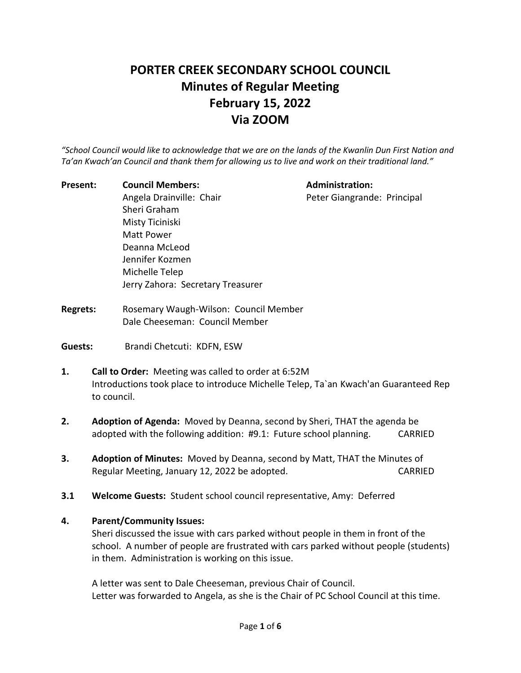# **PORTER CREEK SECONDARY SCHOOL COUNCIL Minutes of Regular Meeting February 15, 2022 Via ZOOM**

*"School Council would like to acknowledge that we are on the lands of the Kwanlin Dun First Nation and Ta'an Kwach'an Council and thank them for allowing us to live and work on their traditional land."*

| Present: | <b>Council Members:</b>           | <b>Administration:</b>      |
|----------|-----------------------------------|-----------------------------|
|          | Angela Drainville: Chair          | Peter Giangrande: Principal |
|          | Sheri Graham                      |                             |
|          | Misty Ticiniski                   |                             |
|          | Matt Power                        |                             |
|          | Deanna McLeod                     |                             |
|          | Jennifer Kozmen                   |                             |
|          | Michelle Telep                    |                             |
|          | Jerry Zahora: Secretary Treasurer |                             |
|          |                                   |                             |

- **Regrets:** Rosemary Waugh-Wilson: Council Member Dale Cheeseman: Council Member
- Guests: Brandi Chetcuti: KDFN, ESW
- **1. Call to Order:** Meeting was called to order at 6:52M Introductions took place to introduce Michelle Telep, Ta`an Kwach'an Guaranteed Rep to council.
- **2. Adoption of Agenda:** Moved by Deanna, second by Sheri, THAT the agenda be adopted with the following addition: #9.1: Future school planning. CARRIED
- **3. Adoption of Minutes:** Moved by Deanna, second by Matt, THAT the Minutes of Regular Meeting, January 12, 2022 be adopted. The control of the CARRIED
- **3.1 Welcome Guests:** Student school council representative, Amy: Deferred

#### **4. Parent/Community Issues:**

Sheri discussed the issue with cars parked without people in them in front of the school. A number of people are frustrated with cars parked without people (students) in them. Administration is working on this issue.

A letter was sent to Dale Cheeseman, previous Chair of Council. Letter was forwarded to Angela, as she is the Chair of PC School Council at this time.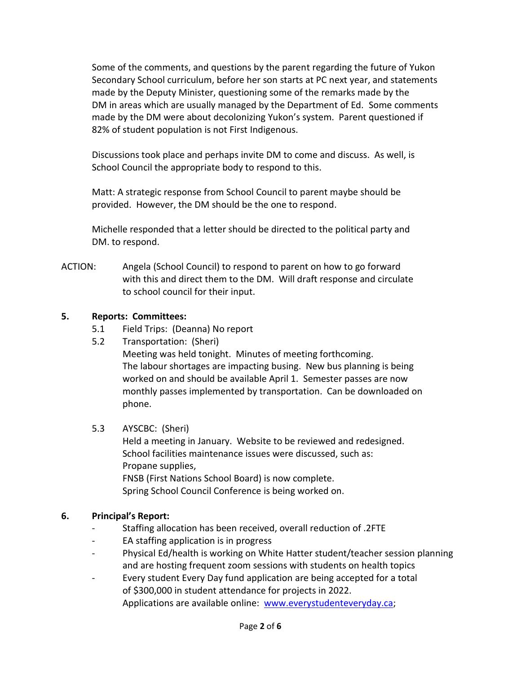Some of the comments, and questions by the parent regarding the future of Yukon Secondary School curriculum, before her son starts at PC next year, and statements made by the Deputy Minister, questioning some of the remarks made by the DM in areas which are usually managed by the Department of Ed. Some comments made by the DM were about decolonizing Yukon's system. Parent questioned if 82% of student population is not First Indigenous.

Discussions took place and perhaps invite DM to come and discuss. As well, is School Council the appropriate body to respond to this.

Matt: A strategic response from School Council to parent maybe should be provided. However, the DM should be the one to respond.

Michelle responded that a letter should be directed to the political party and DM. to respond.

ACTION: Angela (School Council) to respond to parent on how to go forward with this and direct them to the DM. Will draft response and circulate to school council for their input.

#### **5. Reports: Committees:**

- 5.1 Field Trips: (Deanna) No report
- 5.2 Transportation: (Sheri)

Meeting was held tonight. Minutes of meeting forthcoming. The labour shortages are impacting busing. New bus planning is being worked on and should be available April 1. Semester passes are now monthly passes implemented by transportation. Can be downloaded on phone.

#### 5.3 AYSCBC: (Sheri)

Held a meeting in January. Website to be reviewed and redesigned. School facilities maintenance issues were discussed, such as: Propane supplies, FNSB (First Nations School Board) is now complete. Spring School Council Conference is being worked on.

#### **6. Principal's Report:**

- Staffing allocation has been received, overall reduction of .2FTE
- EA staffing application is in progress
- Physical Ed/health is working on White Hatter student/teacher session planning and are hosting frequent zoom sessions with students on health topics
- Every student Every Day fund application are being accepted for a total of \$300,000 in student attendance for projects in 2022. Applications are available online: [www.everystudenteveryday.ca;](http://www.everystudenteveryday.ca/)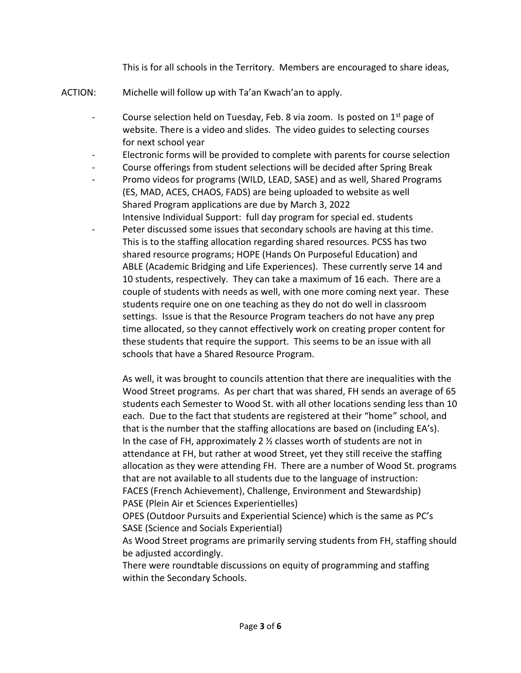This is for all schools in the Territory. Members are encouraged to share ideas,

- ACTION: Michelle will follow up with Ta'an Kwach'an to apply.
	- Course selection held on Tuesday, Feb. 8 via zoom. Is posted on  $1<sup>st</sup>$  page of website. There is a video and slides. The video guides to selecting courses for next school year
	- Electronic forms will be provided to complete with parents for course selection
	- Course offerings from student selections will be decided after Spring Break
	- Promo videos for programs (WILD, LEAD, SASE) and as well, Shared Programs (ES, MAD, ACES, CHAOS, FADS) are being uploaded to website as well Shared Program applications are due by March 3, 2022 Intensive Individual Support: full day program for special ed. students
	- Peter discussed some issues that secondary schools are having at this time. This is to the staffing allocation regarding shared resources. PCSS has two shared resource programs; HOPE (Hands On Purposeful Education) and ABLE (Academic Bridging and Life Experiences). These currently serve 14 and 10 students, respectively. They can take a maximum of 16 each. There are a couple of students with needs as well, with one more coming next year. These students require one on one teaching as they do not do well in classroom settings. Issue is that the Resource Program teachers do not have any prep time allocated, so they cannot effectively work on creating proper content for these students that require the support. This seems to be an issue with all schools that have a Shared Resource Program.

As well, it was brought to councils attention that there are inequalities with the Wood Street programs. As per chart that was shared, FH sends an average of 65 students each Semester to Wood St. with all other locations sending less than 10 each. Due to the fact that students are registered at their "home" school, and that is the number that the staffing allocations are based on (including EA's). In the case of FH, approximately 2 ½ classes worth of students are not in attendance at FH, but rather at wood Street, yet they still receive the staffing allocation as they were attending FH. There are a number of Wood St. programs that are not available to all students due to the language of instruction: FACES (French Achievement), Challenge, Environment and Stewardship) PASE (Plein Air et Sciences Experientielles)

OPES (Outdoor Pursuits and Experiential Science) which is the same as PC's SASE (Science and Socials Experiential)

As Wood Street programs are primarily serving students from FH, staffing should be adjusted accordingly.

There were roundtable discussions on equity of programming and staffing within the Secondary Schools.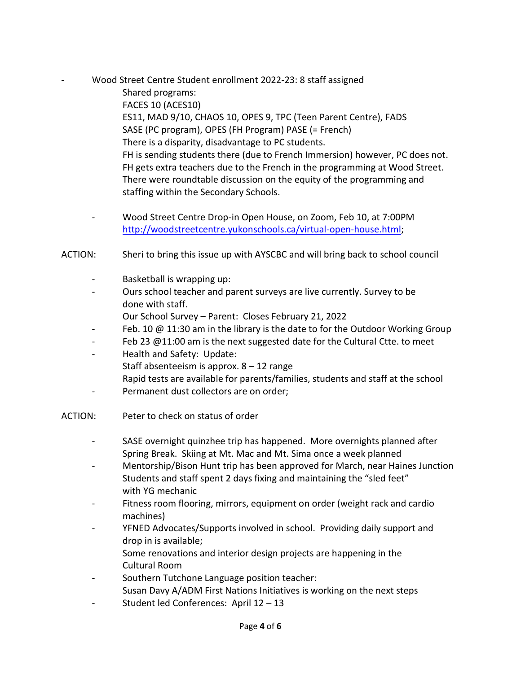Wood Street Centre Student enrollment 2022-23: 8 staff assigned

Shared programs: FACES 10 (ACES10) ES11, MAD 9/10, CHAOS 10, OPES 9, TPC (Teen Parent Centre), FADS SASE (PC program), OPES (FH Program) PASE (= French) There is a disparity, disadvantage to PC students. FH is sending students there (due to French Immersion) however, PC does not. FH gets extra teachers due to the French in the programming at Wood Street. There were roundtable discussion on the equity of the programming and staffing within the Secondary Schools.

- Wood Street Centre Drop-in Open House, on Zoom, Feb 10, at 7:00PM [http://woodstreetcentre.yukonschools.ca/virtual-open-house.html;](http://woodstreetcentre.yukonschools.ca/virtual-open-house.html)
- ACTION: Sheri to bring this issue up with AYSCBC and will bring back to school council
	- Basketball is wrapping up:
	- Ours school teacher and parent surveys are live currently. Survey to be done with staff.
		- Our School Survey Parent: Closes February 21, 2022
	- Feb. 10 @ 11:30 am in the library is the date to for the Outdoor Working Group
	- Feb 23  $@11:00$  am is the next suggested date for the Cultural Ctte. to meet
	- Health and Safety: Update: Staff absenteeism is approx.  $8 - 12$  range Rapid tests are available for parents/families, students and staff at the school
	- Permanent dust collectors are on order;
- ACTION: Peter to check on status of order
	- SASE overnight quinzhee trip has happened. More overnights planned after Spring Break. Skiing at Mt. Mac and Mt. Sima once a week planned
	- Mentorship/Bison Hunt trip has been approved for March, near Haines Junction Students and staff spent 2 days fixing and maintaining the "sled feet" with YG mechanic
	- Fitness room flooring, mirrors, equipment on order (weight rack and cardio machines)
	- YFNED Advocates/Supports involved in school. Providing daily support and drop in is available;
		- Some renovations and interior design projects are happening in the Cultural Room
	- Southern Tutchone Language position teacher: Susan Davy A/ADM First Nations Initiatives is working on the next steps
	- Student led Conferences: April 12 13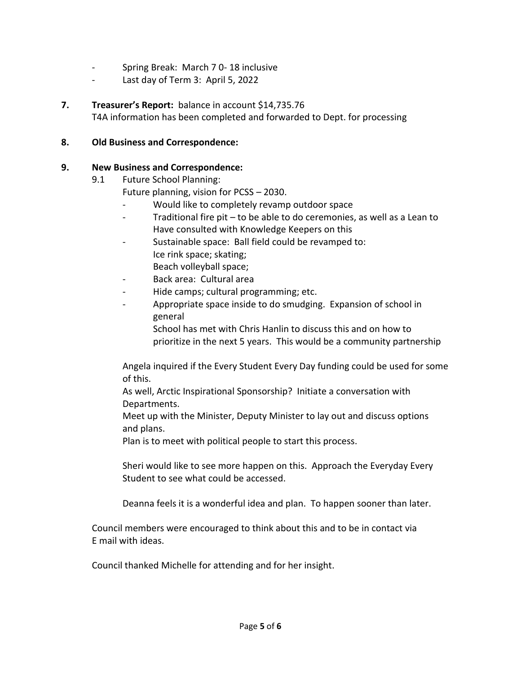- Spring Break: March 7 0- 18 inclusive
- Last day of Term 3: April 5, 2022
- **7. Treasurer's Report:** balance in account \$14,735.76 T4A information has been completed and forwarded to Dept. for processing

#### **8. Old Business and Correspondence:**

### **9. New Business and Correspondence:**

9.1 Future School Planning:

Future planning, vision for PCSS – 2030.

- Would like to completely revamp outdoor space
- Traditional fire pit to be able to do ceremonies, as well as a Lean to Have consulted with Knowledge Keepers on this
- Sustainable space: Ball field could be revamped to: Ice rink space; skating; Beach volleyball space;
- Back area: Cultural area
- Hide camps; cultural programming; etc.
- Appropriate space inside to do smudging. Expansion of school in general

School has met with Chris Hanlin to discuss this and on how to prioritize in the next 5 years. This would be a community partnership

Angela inquired if the Every Student Every Day funding could be used for some of this.

As well, Arctic Inspirational Sponsorship? Initiate a conversation with Departments.

Meet up with the Minister, Deputy Minister to lay out and discuss options and plans.

Plan is to meet with political people to start this process.

Sheri would like to see more happen on this. Approach the Everyday Every Student to see what could be accessed.

Deanna feels it is a wonderful idea and plan. To happen sooner than later.

Council members were encouraged to think about this and to be in contact via E mail with ideas.

Council thanked Michelle for attending and for her insight.